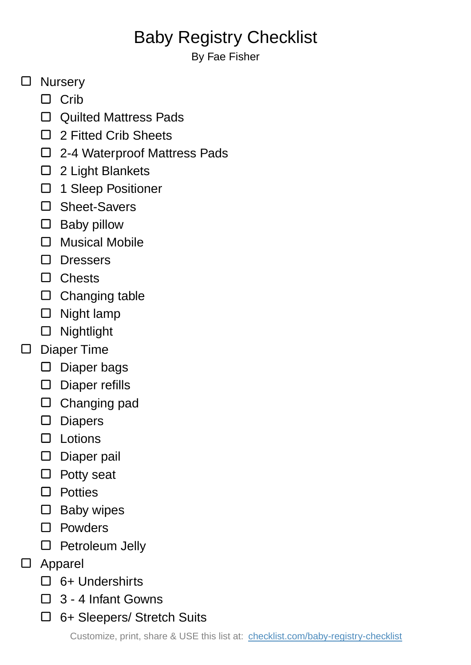## Baby Registry Checklist

By Fae Fisher

## □ Nursery

- $\Box$  Crib
- □ Quilted Mattress Pads
- □ 2 Fitted Crib Sheets
- □ 2-4 Waterproof Mattress Pads
- 2 Light Blankets
- □ 1 Sleep Positioner
- □ Sheet-Savers
- $\square$  Baby pillow
- Musical Mobile
- □ Dressers
- □ Chests
- $\square$  Changing table
- $\Box$  Night lamp
- Nightlight
- Diaper Time  $\Box$ 
	- $\square$  Diaper bags
	- Diaper refills
	- Changing pad
	- Diapers
	- $\Box$  Lotions
	- D Diaper pail
	- $\Box$  Potty seat
	- □ Potties
	- $\square$  Baby wipes
	- □ Powders
	- $\square$  Petroleum Jelly
- Apparel  $\Box$ 
	- $\Box$  6+ Undershirts
	- $\Box$  3 4 Infant Gowns
	- 6+ Sleepers/ Stretch Suits

Customize, print, share & USE this list at: [checklist.com/baby-registry-checklist](https://checklist.com/baby-registry-checklist)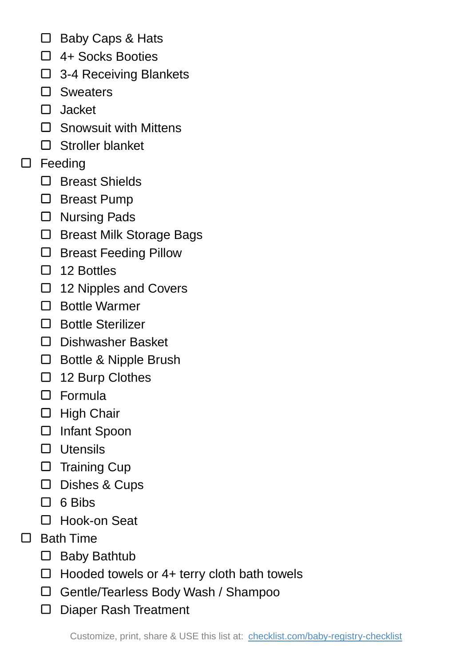- □ Baby Caps & Hats
- □ 4+ Socks Booties
- □ 3-4 Receiving Blankets
- □ Sweaters
- Jacket
- □ Snowsuit with Mittens
- □ Stroller blanket
- □ Feeding
	- □ Breast Shields
	- □ Breast Pump
	- □ Nursing Pads
	- □ Breast Milk Storage Bags
	- □ Breast Feeding Pillow
	- $\Box$  12 Bottles
	- □ 12 Nipples and Covers
	- □ Bottle Warmer
	- □ Bottle Sterilizer
	- D Dishwasher Basket
	- □ Bottle & Nipple Brush
	- □ 12 Burp Clothes
	- Formula
	- $\Box$  High Chair
	- Infant Spoon
	- $\Box$  Utensils
	- $\square$  Training Cup
	- Dishes & Cups
	- $\Box$  6 Bibs
	- □ Hook-on Seat
- □ Bath Time
	- □ Baby Bathtub
	- $\Box$  Hooded towels or 4+ terry cloth bath towels
	- Gentle/Tearless Body Wash / Shampoo
	- □ Diaper Rash Treatment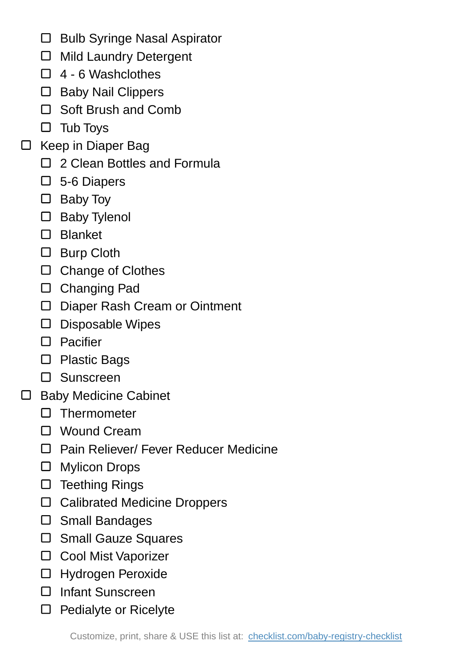- $\Box$  Bulb Syringe Nasal Aspirator
- Mild Laundry Detergent
- $\Box$  4 6 Washclothes
- □ Baby Nail Clippers
- □ Soft Brush and Comb
- $\square$  Tub Toys
- $\Box$  Keep in Diaper Bag
	- □ 2 Clean Bottles and Formula
	- □ 5-6 Diapers
	- Baby Toy
	- □ Baby Tylenol
	- Blanket
	- □ Burp Cloth
	- □ Change of Clothes
	- Changing Pad
	- Diaper Rash Cream or Ointment
	- Disposable Wipes
	- □ Pacifier
	- □ Plastic Bags
	- Sunscreen
- □ Baby Medicine Cabinet
	- $\square$  Thermometer
	- □ Wound Cream
	- □ Pain Reliever/ Fever Reducer Medicine
	- Mylicon Drops
	- $\square$  Teething Rings
	- □ Calibrated Medicine Droppers
	- Small Bandages
	- □ Small Gauze Squares
	- □ Cool Mist Vaporizer
	- Hydrogen Peroxide
	- Infant Sunscreen
	- $\square$  Pedialyte or Ricelyte